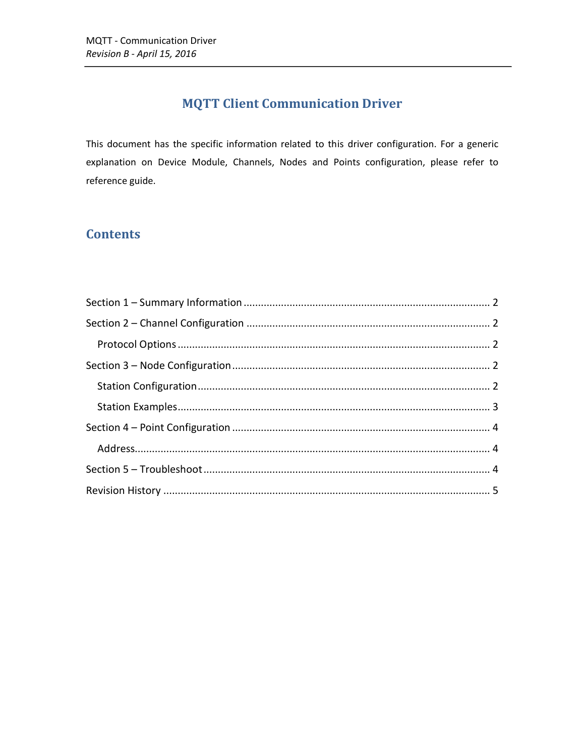## **MQTT Client Communication Driver**

This document has the specific information related to this driver configuration. For a generic explanation on Device Module, Channels, Nodes and Points configuration, please refer to reference guide.

## **Contents**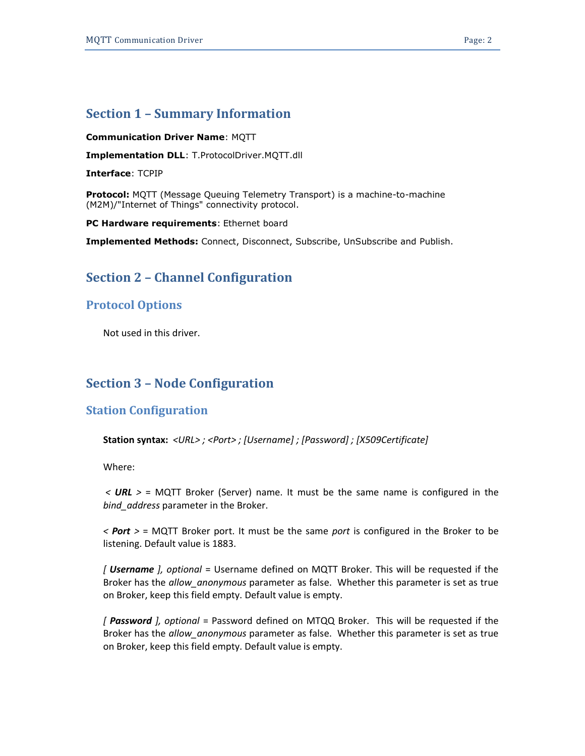## <span id="page-1-0"></span>**Section 1 – Summary Information**

#### **Communication Driver Name**: MQTT

**Implementation DLL**: T.ProtocolDriver.MQTT.dll

**Interface**: TCPIP

**Protocol:** MQTT (Message Queuing Telemetry Transport) is a machine-to-machine (M2M)/"Internet of Things" connectivity protocol.

**PC Hardware requirements**: Ethernet board

<span id="page-1-1"></span>**Implemented Methods:** Connect, Disconnect, Subscribe, UnSubscribe and Publish.

## **Section 2 – Channel Configuration**

### <span id="page-1-2"></span>**Protocol Options**

Not used in this driver.

### <span id="page-1-3"></span>**Section 3 – Node Configuration**

### <span id="page-1-4"></span>**Station Configuration**

**Station syntax:** *<URL> ; <Port> ; [Username] ; [Password] ; [X509Certificate]*

Where:

*< URL >* = MQTT Broker (Server) name. It must be the same name is configured in the *bind\_address* parameter in the Broker.

*< Port >* = MQTT Broker port. It must be the same *port* is configured in the Broker to be listening. Default value is 1883.

*[ Username ], optional* = Username defined on MQTT Broker. This will be requested if the Broker has the *allow\_anonymous* parameter as false. Whether this parameter is set as true on Broker, keep this field empty. Default value is empty.

*[ Password ], optional* = Password defined on MTQQ Broker. This will be requested if the Broker has the *allow\_anonymous* parameter as false. Whether this parameter is set as true on Broker, keep this field empty. Default value is empty.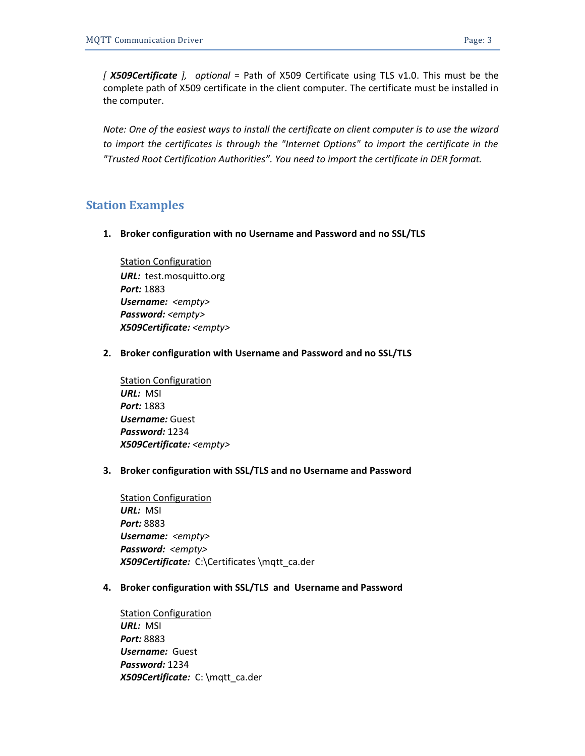*Note: One of the easiest ways to install the certificate on client computer is to use the wizard*  to import the certificates is through the "Internet Options" to import the certificate in the *"Trusted Root Certification Authorities". You need to import the certificate in DER format.*

## <span id="page-2-0"></span>**Station Examples**

**1. Broker configuration with no Username and Password and no SSL/TLS**

**Station Configuration** *URL:* test.mosquitto.org *Port:* 1883 *Username: <empty> Password: <empty> X509Certificate: <empty>*

**2. Broker configuration with Username and Password and no SSL/TLS**

Station Configuration *URL:* MSI *Port:* 1883 *Username:* Guest *Password:* 1234 *X509Certificate: <empty>*

**3. Broker configuration with SSL/TLS and no Username and Password**

**Station Configuration** *URL:* MSI *Port:* 8883 *Username: <empty> Password: <empty> X509Certificate:* C:\Certificates \mqtt\_ca.der

**4. Broker configuration with SSL/TLS and Username and Password**

Station Configuration *URL:* MSI *Port:* 8883 *Username:* Guest *Password:* 1234 *X509Certificate:* C: \mqtt\_ca.der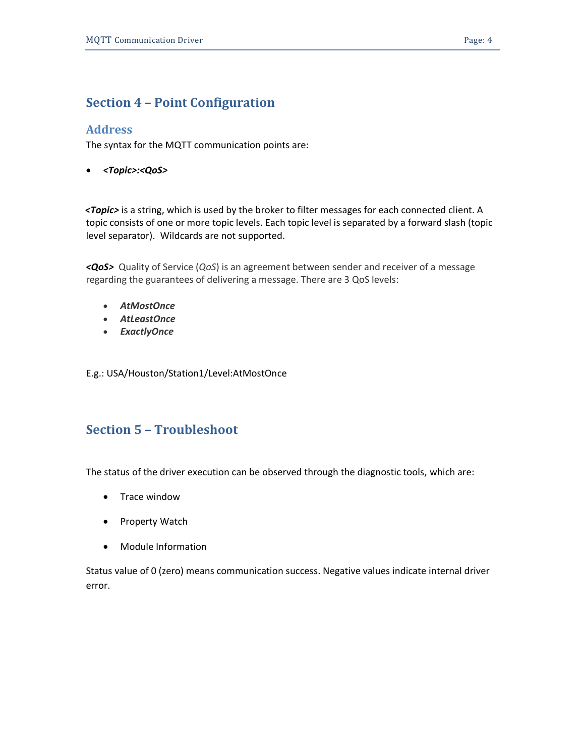## <span id="page-3-0"></span>**Section 4 – Point Configuration**

#### <span id="page-3-1"></span>**Address**

The syntax for the MQTT communication points are:

*<Topic>:<QoS>*

 *<Topic>* is a string, which is used by the broker to filter messages for each connected client. A topic consists of one or more topic levels. Each topic level is separated by a forward slash (topic level separator). Wildcards are not supported.

*<QoS>* Quality of Service (*QoS*) is an agreement between sender and receiver of a message regarding the guarantees of delivering a message. There are 3 QoS levels:

- *AtMostOnce*
- *AtLeastOnce*
- *ExactlyOnce*

E.g.: USA/Houston/Station1/Level:AtMostOnce

## <span id="page-3-2"></span>**Section 5 – Troubleshoot**

The status of the driver execution can be observed through the diagnostic tools, which are:

- Trace window
- Property Watch
- Module Information

Status value of 0 (zero) means communication success. Negative values indicate internal driver error.